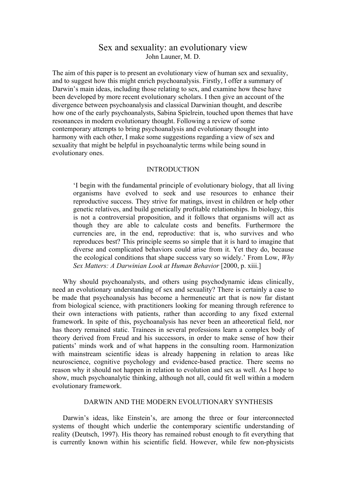# Sex and sexuality: an evolutionary view John Launer, M. D.

The aim of this paper is to present an evolutionary view of human sex and sexuality, and to suggest how this might enrich psychoanalysis. Firstly, I offer a summary of Darwin's main ideas, including those relating to sex, and examine how these have been developed by more recent evolutionary scholars. I then give an account of the divergence between psychoanalysis and classical Darwinian thought, and describe how one of the early psychoanalysts, Sabina Spielrein, touched upon themes that have resonances in modern evolutionary thought. Following a review of some contemporary attempts to bring psychoanalysis and evolutionary thought into harmony with each other, I make some suggestions regarding a view of sex and sexuality that might be helpful in psychoanalytic terms while being sound in evolutionary ones.

# **INTRODUCTION**

'I begin with the fundamental principle of evolutionary biology, that all living organisms have evolved to seek and use resources to enhance their reproductive success. They strive for matings, invest in children or help other genetic relatives, and build genetically profitable relationships. In biology, this is not a controversial proposition, and it follows that organisms will act as though they are able to calculate costs and benefits. Furthermore the currencies are, in the end, reproductive: that is, who survives and who reproduces best? This principle seems so simple that it is hard to imagine that diverse and complicated behaviors could arise from it. Yet they do, because the ecological conditions that shape success vary so widely.' From Low, *Why Sex Matters: A Darwinian Look at Human Behavior* [2000, p. xiii.]

Why should psychoanalysts, and others using psychodynamic ideas clinically, need an evolutionary understanding of sex and sexuality? There is certainly a case to be made that psychoanalysis has become a hermeneutic art that is now far distant from biological science, with practitioners looking for meaning through reference to their own interactions with patients, rather than according to any fixed external framework. In spite of this, psychoanalysis has never been an atheoretical field, nor has theory remained static. Trainees in several professions learn a complex body of theory derived from Freud and his successors, in order to make sense of how their patients' minds work and of what happens in the consulting room. Harmonization with mainstream scientific ideas is already happening in relation to areas like neuroscience, cognitive psychology and evidence-based practice. There seems no reason why it should not happen in relation to evolution and sex as well. As I hope to show, much psychoanalytic thinking, although not all, could fit well within a modern evolutionary framework.

# DARWIN AND THE MODERN EVOLUTIONARY SYNTHESIS

Darwin's ideas, like Einstein's, are among the three or four interconnected systems of thought which underlie the contemporary scientific understanding of reality (Deutsch, 1997). His theory has remained robust enough to fit everything that is currently known within his scientific field. However, while few non-physicists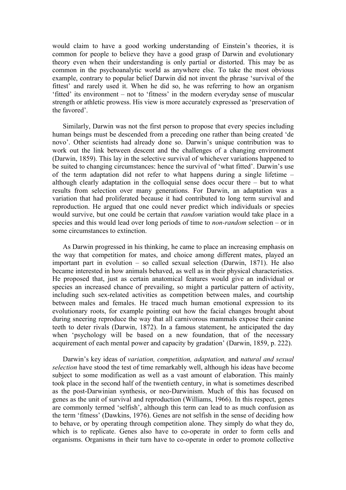would claim to have a good working understanding of Einstein's theories, it is common for people to believe they have a good grasp of Darwin and evolutionary theory even when their understanding is only partial or distorted. This may be as common in the psychoanalytic world as anywhere else. To take the most obvious example, contrary to popular belief Darwin did not invent the phrase 'survival of the fittest' and rarely used it. When he did so, he was referring to how an organism 'fitted' its environment – not to 'fitness' in the modern everyday sense of muscular strength or athletic prowess. His view is more accurately expressed as 'preservation of the favored'.

Similarly, Darwin was not the first person to propose that every species including human beings must be descended from a preceding one rather than being created 'de novo'. Other scientists had already done so. Darwin's unique contribution was to work out the link between descent and the challenges of a changing environment (Darwin, 1859). This lay in the selective survival of whichever variations happened to be suited to changing circumstances: hence the survival of 'what fitted'. Darwin's use of the term adaptation did not refer to what happens during a single lifetime – although clearly adaptation in the colloquial sense does occur there – but to what results from selection over many generations. For Darwin, an adaptation was a variation that had proliferated because it had contributed to long term survival and reproduction. He argued that one could never predict which individuals or species would survive, but one could be certain that *random* variation would take place in a species and this would lead over long periods of time to *non-random* selection – or in some circumstances to extinction.

As Darwin progressed in his thinking, he came to place an increasing emphasis on the way that competition for mates, and choice among different mates, played an important part in evolution – so called sexual selection (Darwin, 1871). He also became interested in how animals behaved, as well as in their physical characteristics. He proposed that, just as certain anatomical features would give an individual or species an increased chance of prevailing, so might a particular pattern of activity, including such sex-related activities as competition between males, and courtship between males and females. He traced much human emotional expression to its evolutionary roots, for example pointing out how the facial changes brought about during sneering reproduce the way that all carnivorous mammals expose their canine teeth to deter rivals (Darwin, 1872). In a famous statement, he anticipated the day when 'psychology will be based on a new foundation, that of the necessary acquirement of each mental power and capacity by gradation' (Darwin, 1859, p. 222).

Darwin's key ideas of *variation, competition, adaptation,* and *natural and sexual selection* have stood the test of time remarkably well, although his ideas have become subject to some modification as well as a vast amount of elaboration. This mainly took place in the second half of the twentieth century, in what is sometimes described as the post-Darwinian synthesis, or neo-Darwinism. Much of this has focused on genes as the unit of survival and reproduction (Williams, 1966). In this respect, genes are commonly termed 'selfish', although this term can lead to as much confusion as the term 'fitness' (Dawkins, 1976). Genes are not selfish in the sense of deciding how to behave, or by operating through competition alone. They simply do what they do, which is to replicate. Genes also have to co-operate in order to form cells and organisms. Organisms in their turn have to co-operate in order to promote collective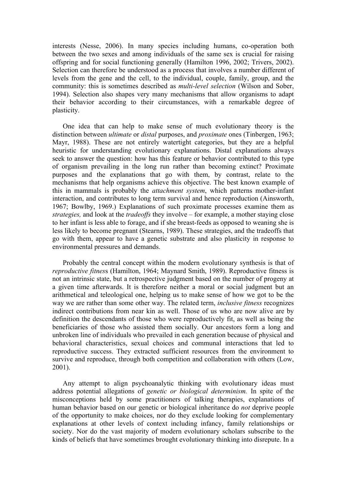interests (Nesse, 2006). In many species including humans, co-operation both between the two sexes and among individuals of the same sex is crucial for raising offspring and for social functioning generally (Hamilton 1996, 2002; Trivers, 2002). Selection can therefore be understood as a process that involves a number different of levels from the gene and the cell, to the individual, couple, family, group, and the community: this is sometimes described as *multi-level selection* (Wilson and Sober, 1994). Selection also shapes very many mechanisms that allow organisms to adapt their behavior according to their circumstances, with a remarkable degree of plasticity.

One idea that can help to make sense of much evolutionary theory is the distinction between *ultimate* or *distal* purposes, and *proximate* ones (Tinbergen, 1963; Mayr, 1988). These are not entirely watertight categories, but they are a helpful heuristic for understanding evolutionary explanations. Distal explanations always seek to answer the question: how has this feature or behavior contributed to this type of organism prevailing in the long run rather than becoming extinct? Proximate purposes and the explanations that go with them, by contrast, relate to the mechanisms that help organisms achieve this objective. The best known example of this in mammals is probably the *attachment system*, which patterns mother-infant interaction, and contributes to long term survival and hence reproduction (Ainsworth, 1967; Bowlby, 1969.) Explanations of such proximate processes examine them as *strategies,* and look at the *tradeoffs* they involve – for example, a mother staying close to her infant is less able to forage, and if she breast-feeds as opposed to weaning she is less likely to become pregnant (Stearns, 1989). These strategies, and the tradeoffs that go with them, appear to have a genetic substrate and also plasticity in response to environmental pressures and demands.

Probably the central concept within the modern evolutionary synthesis is that of *reproductive fitnes*s (Hamilton, 1964; Maynard Smith, 1989). Reproductive fitness is not an intrinsic state, but a retrospective judgment based on the number of progeny at a given time afterwards. It is therefore neither a moral or social judgment but an arithmetical and teleological one, helping us to make sense of how we got to be the way we are rather than some other way. The related term, *inclusive fitness* recognizes indirect contributions from near kin as well. Those of us who are now alive are by definition the descendants of those who were reproductively fit, as well as being the beneficiaries of those who assisted them socially. Our ancestors form a long and unbroken line of individuals who prevailed in each generation because of physical and behavioral characteristics, sexual choices and communal interactions that led to reproductive success. They extracted sufficient resources from the environment to survive and reproduce, through both competition and collaboration with others (Low, 2001).

Any attempt to align psychoanalytic thinking with evolutionary ideas must address potential allegations of *genetic or biological determinism.* In spite of the misconceptions held by some practitioners of talking therapies, explanations of human behavior based on our genetic or biological inheritance do *not* deprive people of the opportunity to make choices, nor do they exclude looking for complementary explanations at other levels of context including infancy, family relationships or society. Nor do the vast majority of modern evolutionary scholars subscribe to the kinds of beliefs that have sometimes brought evolutionary thinking into disrepute. In a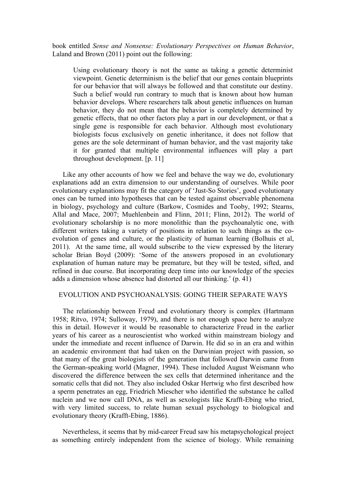book entitled *Sense and Nonsense: Evolutionary Perspectives on Human Behavior*, Laland and Brown (2011) point out the following:

Using evolutionary theory is not the same as taking a genetic determinist viewpoint. Genetic determinism is the belief that our genes contain blueprints for our behavior that will always be followed and that constitute our destiny. Such a belief would run contrary to much that is known about how human behavior develops. Where researchers talk about genetic influences on human behavior, they do not mean that the behavior is completely determined by genetic effects, that no other factors play a part in our development, or that a single gene is responsible for each behavior. Although most evolutionary biologists focus exclusively on genetic inheritance, it does not follow that genes are the sole determinant of human behavior, and the vast majority take it for granted that multiple environmental influences will play a part throughout development. [p. 11]

Like any other accounts of how we feel and behave the way we do, evolutionary explanations add an extra dimension to our understanding of ourselves. While poor evolutionary explanations may fit the category of 'Just-So Stories', good evolutionary ones can be turned into hypotheses that can be tested against observable phenomena in biology, psychology and culture (Barkow, Cosmides and Tooby, 1992; Stearns, Allal and Mace, 2007; Muehlenbein and Flinn, 2011; Flinn, 2012). The world of evolutionary scholarship is no more monolithic than the psychoanalytic one, with different writers taking a variety of positions in relation to such things as the coevolution of genes and culture, or the plasticity of human learning (Bolhuis et al, 2011). At the same time, all would subscribe to the view expressed by the literary scholar Brian Boyd (2009): 'Some of the answers proposed in an evolutionary explanation of human nature may be premature, but they will be tested, sifted, and refined in due course. But incorporating deep time into our knowledge of the species adds a dimension whose absence had distorted all our thinking.' (p. 41)

### EVOLUTION AND PSYCHOANALYSIS: GOING THEIR SEPARATE WAYS

The relationship between Freud and evolutionary theory is complex (Hartmann 1958; Ritvo, 1974; Sulloway, 1979), and there is not enough space here to analyze this in detail. However it would be reasonable to characterize Freud in the earlier years of his career as a neuroscientist who worked within mainstream biology and under the immediate and recent influence of Darwin. He did so in an era and within an academic environment that had taken on the Darwinian project with passion, so that many of the great biologists of the generation that followed Darwin came from the German-speaking world (Magner, 1994). These included August Weismann who discovered the difference between the sex cells that determined inheritance and the somatic cells that did not. They also included Oskar Hertwig who first described how a sperm penetrates an egg, Friedrich Miescher who identified the substance he called nuclein and we now call DNA, as well as sexologists like Krafft-Ebing who tried, with very limited success, to relate human sexual psychology to biological and evolutionary theory (Krafft-Ebing, 1886).

Nevertheless, it seems that by mid-career Freud saw his metapsychological project as something entirely independent from the science of biology. While remaining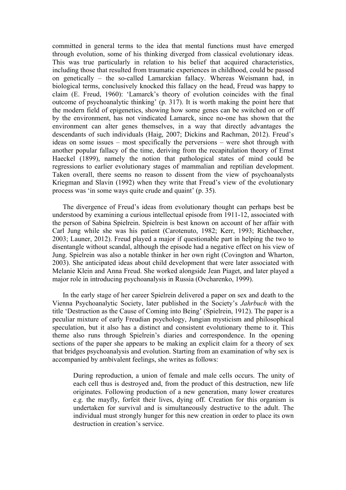committed in general terms to the idea that mental functions must have emerged through evolution, some of his thinking diverged from classical evolutionary ideas. This was true particularly in relation to his belief that acquired characteristics, including those that resulted from traumatic experiences in childhood, could be passed on genetically – the so-called Lamarckian fallacy. Whereas Weismann had, in biological terms, conclusively knocked this fallacy on the head, Freud was happy to claim (E. Freud, 1960): 'Lamarck's theory of evolution coincides with the final outcome of psychoanalytic thinking' (p. 317). It is worth making the point here that the modern field of epigenetics, showing how some genes can be switched on or off by the environment, has not vindicated Lamarck, since no-one has shown that the environment can alter genes themselves, in a way that directly advantages the descendants of such individuals (Haig, 2007; Dickins and Rachman, 2012). Freud's ideas on some issues – most specifically the perversions – were shot through with another popular fallacy of the time, deriving from the recapitulation theory of Ernst Haeckel (1899), namely the notion that pathological states of mind could be regressions to earlier evolutionary stages of mammalian and reptilian development. Taken overall, there seems no reason to dissent from the view of psychoanalysts Kriegman and Slavin (1992) when they write that Freud's view of the evolutionary process was 'in some ways quite crude and quaint' (p. 35).

The divergence of Freud's ideas from evolutionary thought can perhaps best be understood by examining a curious intellectual episode from 1911-12, associated with the person of Sabina Spielrein. Spielrein is best known on account of her affair with Carl Jung while she was his patient (Carotenuto, 1982; Kerr, 1993; Richbaecher, 2003; Launer, 2012). Freud played a major if questionable part in helping the two to disentangle without scandal, although the episode had a negative effect on his view of Jung. Spielrein was also a notable thinker in her own right (Covington and Wharton, 2003). She anticipated ideas about child development that were later associated with Melanie Klein and Anna Freud. She worked alongside Jean Piaget, and later played a major role in introducing psychoanalysis in Russia (Ovcharenko, 1999).

In the early stage of her career Spielrein delivered a paper on sex and death to the Vienna Psychoanalytic Society, later published in the Society's *Jahrbuch* with the title 'Destruction as the Cause of Coming into Being' (Spielrein, 1912). The paper is a peculiar mixture of early Freudian psychology, Jungian mysticism and philosophical speculation, but it also has a distinct and consistent evolutionary theme to it. This theme also runs through Spielrein's diaries and correspondence. In the opening sections of the paper she appears to be making an explicit claim for a theory of sex that bridges psychoanalysis and evolution. Starting from an examination of why sex is accompanied by ambivalent feelings, she writes as follows:

During reproduction, a union of female and male cells occurs. The unity of each cell thus is destroyed and, from the product of this destruction, new life originates. Following production of a new generation, many lower creatures e.g. the mayfly, forfeit their lives, dying off. Creation for this organism is undertaken for survival and is simultaneously destructive to the adult. The individual must strongly hunger for this new creation in order to place its own destruction in creation's service.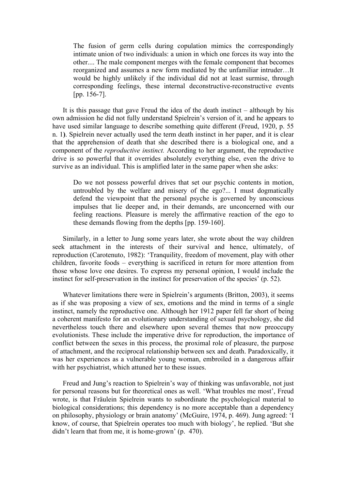The fusion of germ cells during copulation mimics the correspondingly intimate union of two individuals: a union in which one forces its way into the other.... The male component merges with the female component that becomes reorganized and assumes a new form mediated by the unfamiliar intruder…It would be highly unlikely if the individual did not at least surmise, through corresponding feelings, these internal deconstructive-reconstructive events [pp. 156-7].

It is this passage that gave Freud the idea of the death instinct – although by his own admission he did not fully understand Spielrein's version of it, and he appears to have used similar language to describe something quite different (Freud, 1920, p. 55 n. 1**)**. Spielrein never actually used the term death instinct in her paper, and it is clear that the apprehension of death that she described there is a biological one, and a component of the *reproductive instinct.* According to her argument, the reproductive drive is so powerful that it overrides absolutely everything else, even the drive to survive as an individual. This is amplified later in the same paper when she asks:

Do we not possess powerful drives that set our psychic contents in motion, untroubled by the welfare and misery of the ego?... I must dogmatically defend the viewpoint that the personal psyche is governed by unconscious impulses that lie deeper and, in their demands, are unconcerned with our feeling reactions. Pleasure is merely the affirmative reaction of the ego to these demands flowing from the depths [pp. 159-160].

Similarly, in a letter to Jung some years later, she wrote about the way children seek attachment in the interests of their survival and hence, ultimately, of reproduction (Carotenuto, 1982): 'Tranquility, freedom of movement, play with other children, favorite foods – everything is sacrificed in return for more attention from those whose love one desires. To express my personal opinion, I would include the instinct for self-preservation in the instinct for preservation of the species' (p. 52).

Whatever limitations there were in Spielrein's arguments (Britton, 2003), it seems as if she was proposing a view of sex, emotions and the mind in terms of a single instinct, namely the reproductive one. Although her 1912 paper fell far short of being a coherent manifesto for an evolutionary understanding of sexual psychology, she did nevertheless touch there and elsewhere upon several themes that now preoccupy evolutionists. These include the imperative drive for reproduction, the importance of conflict between the sexes in this process, the proximal role of pleasure, the purpose of attachment, and the reciprocal relationship between sex and death. Paradoxically, it was her experiences as a vulnerable young woman, embroiled in a dangerous affair with her psychiatrist, which attuned her to these issues.

Freud and Jung's reaction to Spielrein's way of thinking was unfavorable, not just for personal reasons but for theoretical ones as well. 'What troubles me most', Freud wrote, is that Fräulein Spielrein wants to subordinate the psychological material to biological considerations; this dependency is no more acceptable than a dependency on philosophy, physiology or brain anatomy' (McGuire, 1974, p. 469). Jung agreed: 'I know, of course, that Spielrein operates too much with biology', he replied. 'But she didn't learn that from me, it is home-grown' (p. 470).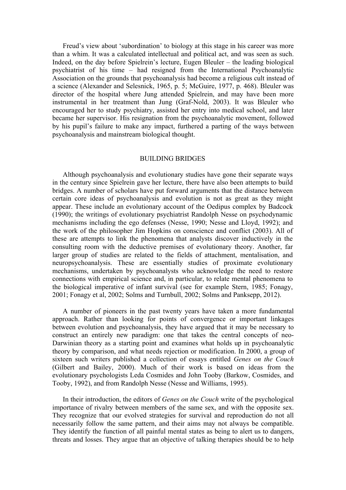Freud's view about 'subordination' to biology at this stage in his career was more than a whim. It was a calculated intellectual and political act, and was seen as such. Indeed, on the day before Spielrein's lecture, Eugen Bleuler – the leading biological psychiatrist of his time – had resigned from the International Psychoanalytic Association on the grounds that psychoanalysis had become a religious cult instead of a science (Alexander and Selesnick, 1965, p. 5; McGuire, 1977, p. 468). Bleuler was director of the hospital where Jung attended Spielrein, and may have been more instrumental in her treatment than Jung (Graf-Nold, 2003). It was Bleuler who encouraged her to study psychiatry, assisted her entry into medical school, and later became her supervisor. His resignation from the psychoanalytic movement, followed by his pupil's failure to make any impact, furthered a parting of the ways between psychoanalysis and mainstream biological thought.

#### BUILDING BRIDGES

Although psychoanalysis and evolutionary studies have gone their separate ways in the century since Spielrein gave her lecture, there have also been attempts to build bridges. A number of scholars have put forward arguments that the distance between certain core ideas of psychoanalysis and evolution is not as great as they might appear. These include an evolutionary account of the Oedipus complex by Badcock (1990); the writings of evolutionary psychiatrist Randolph Nesse on psychodynamic mechanisms including the ego defenses (Nesse, 1990; Nesse and Lloyd, 1992); and the work of the philosopher Jim Hopkins on conscience and conflict (2003). All of these are attempts to link the phenomena that analysts discover inductively in the consulting room with the deductive premises of evolutionary theory. Another, far larger group of studies are related to the fields of attachment, mentalisation, and neuropsychoanalysis. These are essentially studies of proximate evolutionary mechanisms, undertaken by psychoanalysts who acknowledge the need to restore connections with empirical science and, in particular, to relate mental phenomena to the biological imperative of infant survival (see for example Stern, 1985; Fonagy, 2001; Fonagy et al, 2002; Solms and Turnbull, 2002; Solms and Panksepp, 2012).

A number of pioneers in the past twenty years have taken a more fundamental approach. Rather than looking for points of convergence or important linkages between evolution and psychoanalysis, they have argued that it may be necessary to construct an entirely new paradigm: one that takes the central concepts of neo-Darwinian theory as a starting point and examines what holds up in psychoanalytic theory by comparison, and what needs rejection or modification. In 2000, a group of sixteen such writers published a collection of essays entitled *Genes on the Couch*  (Gilbert and Bailey, 2000). Much of their work is based on ideas from the evolutionary psychologists Leda Cosmides and John Tooby (Barkow, Cosmides, and Tooby, 1992), and from Randolph Nesse (Nesse and Williams, 1995).

In their introduction, the editors of *Genes on the Couch* write of the psychological importance of rivalry between members of the same sex, and with the opposite sex. They recognize that our evolved strategies for survival and reproduction do not all necessarily follow the same pattern, and their aims may not always be compatible. They identify the function of all painful mental states as being to alert us to dangers, threats and losses. They argue that an objective of talking therapies should be to help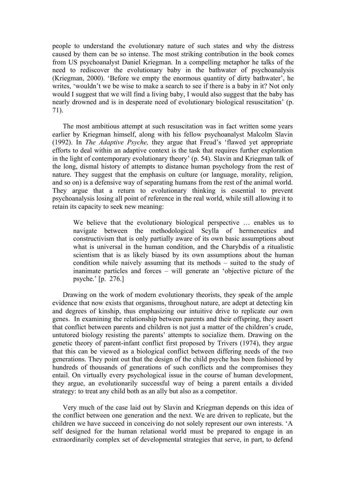people to understand the evolutionary nature of such states and why the distress caused by them can be so intense. The most striking contribution in the book comes from US psychoanalyst Daniel Kriegman. In a compelling metaphor he talks of the need to rediscover the evolutionary baby in the bathwater of psychoanalysis (Kriegman, 2000). 'Before we empty the enormous quantity of dirty bathwater', he writes, 'wouldn't we be wise to make a search to see if there is a baby in it? Not only would I suggest that we will find a living baby, I would also suggest that the baby has nearly drowned and is in desperate need of evolutionary biological resuscitation' (p. 71).

The most ambitious attempt at such resuscitation was in fact written some years earlier by Kriegman himself, along with his fellow psychoanalyst Malcolm Slavin (1992). In *The Adaptive Psyche,* they argue that Freud's 'flawed yet appropriate efforts to deal within an adaptive context is the task that requires further exploration in the light of contemporary evolutionary theory' (p. 54). Slavin and Kriegman talk of the long, dismal history of attempts to distance human psychology from the rest of nature. They suggest that the emphasis on culture (or language, morality, religion, and so on) is a defensive way of separating humans from the rest of the animal world. They argue that a return to evolutionary thinking is essential to prevent psychoanalysis losing all point of reference in the real world, while still allowing it to retain its capacity to seek new meaning:

We believe that the evolutionary biological perspective … enables us to navigate between the methodological Scylla of hermeneutics and constructivism that is only partially aware of its own basic assumptions about what is universal in the human condition, and the Charybdis of a ritualistic scientism that is as likely biased by its own assumptions about the human condition while naively assuming that its methods – suited to the study of inanimate particles and forces – will generate an 'objective picture of the psyche.' [p. 276.]

Drawing on the work of modern evolutionary theorists, they speak of the ample evidence that now exists that organisms, throughout nature, are adept at detecting kin and degrees of kinship, thus emphasizing our intuitive drive to replicate our own genes. In examining the relationship between parents and their offspring, they assert that conflict between parents and children is not just a matter of the children's crude, untutored biology resisting the parents' attempts to socialize them. Drawing on the genetic theory of parent-infant conflict first proposed by Trivers (1974), they argue that this can be viewed as a biological conflict between differing needs of the two generations. They point out that the design of the child psyche has been fashioned by hundreds of thousands of generations of such conflicts and the compromises they entail. On virtually every psychological issue in the course of human development, they argue, an evolutionarily successful way of being a parent entails a divided strategy: to treat any child both as an ally but also as a competitor.

Very much of the case laid out by Slavin and Kriegman depends on this idea of the conflict between one generation and the next. We are driven to replicate, but the children we have succeed in conceiving do not solely represent our own interests. 'A self designed for the human relational world must be prepared to engage in an extraordinarily complex set of developmental strategies that serve, in part, to defend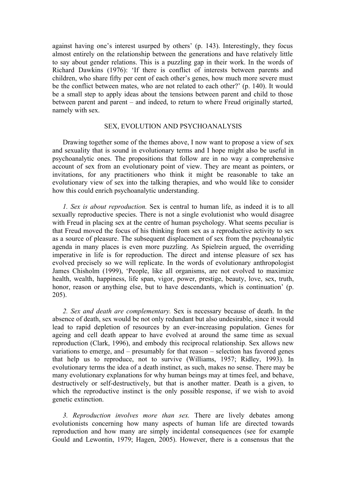against having one's interest usurped by others' (p. 143). Interestingly, they focus almost entirely on the relationship between the generations and have relatively little to say about gender relations. This is a puzzling gap in their work. In the words of Richard Dawkins (1976): 'If there is conflict of interests between parents and children, who share fifty per cent of each other's genes, how much more severe must be the conflict between mates, who are not related to each other?' (p. 140). It would be a small step to apply ideas about the tensions between parent and child to those between parent and parent – and indeed, to return to where Freud originally started, namely with sex.

# SEX, EVOLUTION AND PSYCHOANALYSIS

Drawing together some of the themes above, I now want to propose a view of sex and sexuality that is sound in evolutionary terms and I hope might also be useful in psychoanalytic ones. The propositions that follow are in no way a comprehensive account of sex from an evolutionary point of view. They are meant as pointers, or invitations, for any practitioners who think it might be reasonable to take an evolutionary view of sex into the talking therapies, and who would like to consider how this could enrich psychoanalytic understanding.

*1. Sex is about reproduction.* Sex is central to human life, as indeed it is to all sexually reproductive species. There is not a single evolutionist who would disagree with Freud in placing sex at the centre of human psychology. What seems peculiar is that Freud moved the focus of his thinking from sex as a reproductive activity to sex as a source of pleasure. The subsequent displacement of sex from the psychoanalytic agenda in many places is even more puzzling. As Spielrein argued, the overriding imperative in life is for reproduction. The direct and intense pleasure of sex has evolved precisely so we will replicate. In the words of evolutionary anthropologist James Chisholm (1999), 'People, like all organisms, are not evolved to maximize health, wealth, happiness, life span, vigor, power, prestige, beauty, love, sex, truth, honor, reason or anything else, but to have descendants, which is continuation' (p. 205).

*2. Sex and death are complementary.* Sex is necessary because of death. In the absence of death, sex would be not only redundant but also undesirable, since it would lead to rapid depletion of resources by an ever-increasing population. Genes for ageing and cell death appear to have evolved at around the same time as sexual reproduction (Clark, 1996), and embody this reciprocal relationship. Sex allows new variations to emerge, and – presumably for that reason – selection has favored genes that help us to reproduce, not to survive (Williams, 1957; Ridley, 1993). In evolutionary terms the idea of a death instinct, as such, makes no sense. There may be many evolutionary explanations for why human beings may at times feel, and behave, destructively or self-destructively, but that is another matter. Death is a given, to which the reproductive instinct is the only possible response, if we wish to avoid genetic extinction.

*3. Reproduction involves more than sex.* There are lively debates among evolutionists concerning how many aspects of human life are directed towards reproduction and how many are simply incidental consequences (see for example Gould and Lewontin, 1979; Hagen, 2005). However, there is a consensus that the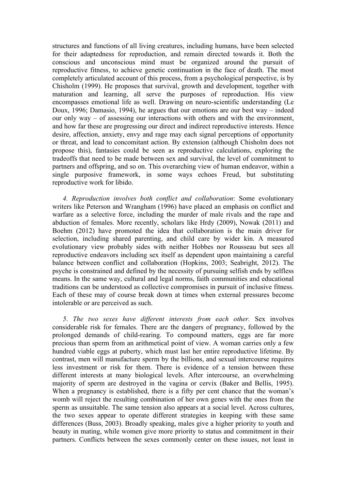structures and functions of all living creatures, including humans, have been selected for their adaptedness for reproduction, and remain directed towards it. Both the conscious and unconscious mind must be organized around the pursuit of reproductive fitness, to achieve genetic continuation in the face of death. The most completely articulated account of this process, from a psychological perspective, is by Chisholm (1999). He proposes that survival, growth and development, together with maturation and learning, all serve the purposes of reproduction. His view encompasses emotional life as well. Drawing on neuro-scientific understanding (Le Doux, 1996; Damasio, 1994), he argues that our emotions are our best way – indeed our only way – of assessing our interactions with others and with the environment, and how far these are progressing our direct and indirect reproductive interests. Hence desire, affection, anxiety, envy and rage may each signal perceptions of opportunity or threat, and lead to concomitant action. By extension (although Chisholm does not propose this), fantasies could be seen as reproductive calculations, exploring the tradeoffs that need to be made between sex and survival, the level of commitment to partners and offspring, and so on. This overarching view of human endeavor, within a single purposive framework, in some ways echoes Freud, but substituting reproductive work for libido.

*4. Reproduction involves both conflict and collaboration*: Some evolutionary writers like Peterson and Wrangham (1996) have placed an emphasis on conflict and warfare as a selective force, including the murder of male rivals and the rape and abduction of females. More recently, scholars like Hrdy (2009), Nowak (2011) and Boehm (2012) have promoted the idea that collaboration is the main driver for selection, including shared parenting, and child care by wider kin. A measured evolutionary view probably sides with neither Hobbes nor Rousseau but sees all reproductive endeavors including sex itself as dependent upon maintaining a careful balance between conflict and collaboration (Hopkins, 2003; Seabright, 2012). The psyche is constrained and defined by the necessity of pursuing selfish ends by selfless means. In the same way, cultural and legal norms, faith communities and educational traditions can be understood as collective compromises in pursuit of inclusive fitness. Each of these may of course break down at times when external pressures become intolerable or are perceived as such.

*5*. *The two sexes have different interests from each other.* Sex involves considerable risk for females. There are the dangers of pregnancy, followed by the prolonged demands of child-rearing. To compound matters, eggs are far more precious than sperm from an arithmetical point of view. A woman carries only a few hundred viable eggs at puberty, which must last her entire reproductive lifetime. By contrast, men will manufacture sperm by the billions, and sexual intercourse requires less investment or risk for them. There is evidence of a tension between these different interests at many biological levels. After intercourse, an overwhelming majority of sperm are destroyed in the vagina or cervix (Baker and Bellis, 1995). When a pregnancy is established, there is a fifty per cent chance that the woman's womb will reject the resulting combination of her own genes with the ones from the sperm as unsuitable. The same tension also appears at a social level. Across cultures, the two sexes appear to operate different strategies in keeping with these same differences (Buss, 2003). Broadly speaking, males give a higher priority to youth and beauty in mating, while women give more priority to status and commitment in their partners. Conflicts between the sexes commonly center on these issues, not least in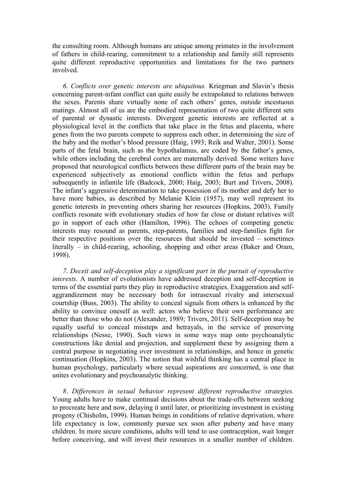the consulting room. Although humans are unique among primates in the involvement of fathers in child-rearing, commitment to a relationship and family still represents quite different reproductive opportunities and limitations for the two partners involved.

*6. Conflicts over genetic interests are ubiquitous.* Kriegman and Slavin's thesis concerning parent-infant conflict can quite easily be extrapolated to relations between the sexes. Parents share virtually none of each others' genes, outside incestuous matings. Almost all of us are the embodied representation of two quite different sets of parental or dynastic interests. Divergent genetic interests are reflected at a physiological level in the conflicts that take place in the fetus and placenta, where genes from the two parents compete to suppress each other, in determining the size of the baby and the mother's blood pressure (Haig, 1993; Reik and Walter, 2001). Some parts of the fetal brain, such as the hypothalamus, are coded by the father's genes, while others including the cerebral cortex are maternally derived. Some writers have proposed that neurological conflicts between these different parts of the brain may be experienced subjectively as emotional conflicts within the fetus and perhaps subsequently in infantile life (Badcock, 2000; Haig, 2003; Burt and Trivers, 2008). The infant's aggressive determination to take possession of its mother and defy her to have more babies, as described by Melanie Klein (1957), may well represent its genetic interests in preventing others sharing her resources (Hopkins, 2003). Family conflicts resonate with evolutionary studies of how far close or distant relatives will go in support of each other (Hamilton, 1996). The echoes of competing genetic interests may resound as parents, step-parents, families and step-families fight for their respective positions over the resources that should be invested – sometimes literally – in child-rearing, schooling, shopping and other areas (Baker and Oram, 1998).

*7*. *Deceit and self-deception play a significant part in the pursuit of reproductive interests*. A number of evolutionists have addressed deception and self-deception in terms of the essential parts they play in reproductive strategies. Exaggeration and selfaggrandizement may be necessary both for intrasexual rivalry and intersexual courtship (Buss, 2003). The ability to conceal signals from others is enhanced by the ability to convince oneself as well: actors who believe their own performance are better than those who do not (Alexander, 1989; Trivers, 2011). Self-deception may be equally useful to conceal missteps and betrayals, in the service of preserving relationships (Nesse, 1990). Such views in some ways map onto psychoanalytic constructions like denial and projection, and supplement these by assigning them a central purpose in negotiating over investment in relationships, and hence in genetic continuation (Hopkins, 2003). The notion that wishful thinking has a central place in human psychology, particularly where sexual aspirations are concerned, is one that unites evolutionary and psychoanalytic thinking.

*8*. *Differences in sexual behavior represent different reproductive strategies.* Young adults have to make continual decisions about the trade-offs between seeking to procreate here and now, delaying it until later, or prioritizing investment in existing progeny (Chisholm, 1999). Human beings in conditions of relative deprivation, where life expectancy is low, commonly pursue sex soon after puberty and have many children. In more secure conditions, adults will tend to use contraception, wait longer before conceiving, and will invest their resources in a smaller number of children.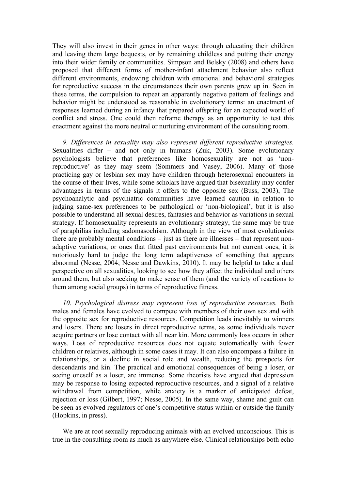They will also invest in their genes in other ways: through educating their children and leaving them large bequests, or by remaining childless and putting their energy into their wider family or communities. Simpson and Belsky (2008) and others have proposed that different forms of mother-infant attachment behavior also reflect different environments, endowing children with emotional and behavioral strategies for reproductive success in the circumstances their own parents grew up in. Seen in these terms, the compulsion to repeat an apparently negative pattern of feelings and behavior might be understood as reasonable in evolutionary terms: an enactment of responses learned during an infancy that prepared offspring for an expected world of conflict and stress. One could then reframe therapy as an opportunity to test this enactment against the more neutral or nurturing environment of the consulting room.

*9. Differences in sexuality may also represent different reproductive strategies.*  Sexualities differ – and not only in humans (Zuk, 2003). Some evolutionary psychologists believe that preferences like homosexuality are not as 'nonreproductive' as they may seem (Sommers and Vasey, 2006). Many of those practicing gay or lesbian sex may have children through heterosexual encounters in the course of their lives, while some scholars have argued that bisexuality may confer advantages in terms of the signals it offers to the opposite sex (Buss, 2003), The psychoanalytic and psychiatric communities have learned caution in relation to judging same-sex preferences to be pathological or 'non-biological', but it is also possible to understand all sexual desires, fantasies and behavior as variations in sexual strategy. If homosexuality represents an evolutionary strategy, the same may be true of paraphilias including sadomasochism. Although in the view of most evolutionists there are probably mental conditions – just as there are illnesses – that represent nonadaptive variations, or ones that fitted past environments but not current ones, it is notoriously hard to judge the long term adaptiveness of something that appears abnormal (Nesse, 2004; Nesse and Dawkins, 2010). It may be helpful to take a dual perspective on all sexualities, looking to see how they affect the individual and others around them, but also seeking to make sense of them (and the variety of reactions to them among social groups) in terms of reproductive fitness.

*10. Psychological distress may represent loss of reproductive resources.* Both males and females have evolved to compete with members of their own sex and with the opposite sex for reproductive resources. Competition leads inevitably to winners and losers. There are losers in direct reproductive terms, as some individuals never acquire partners or lose contact with all near kin. More commonly loss occurs in other ways. Loss of reproductive resources does not equate automatically with fewer children or relatives, although in some cases it may. It can also encompass a failure in relationships, or a decline in social role and wealth, reducing the prospects for descendants and kin. The practical and emotional consequences of being a loser, or seeing oneself as a loser, are immense. Some theorists have argued that depression may be response to losing expected reproductive resources, and a signal of a relative withdrawal from competition, while anxiety is a marker of anticipated defeat, rejection or loss (Gilbert, 1997; Nesse, 2005). In the same way, shame and guilt can be seen as evolved regulators of one's competitive status within or outside the family (Hopkins, in press).

We are at root sexually reproducing animals with an evolved unconscious. This is true in the consulting room as much as anywhere else. Clinical relationships both echo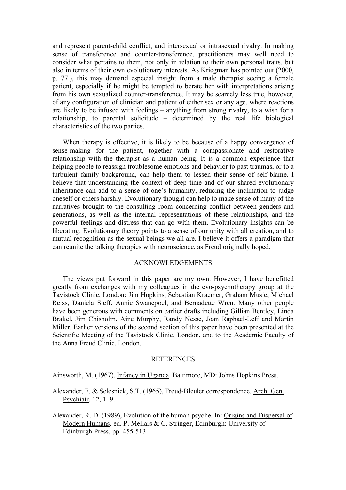and represent parent-child conflict, and intersexual or intrasexual rivalry. In making sense of transference and counter-transference, practitioners may well need to consider what pertains to them, not only in relation to their own personal traits, but also in terms of their own evolutionary interests. As Kriegman has pointed out (2000, p. 77.), this may demand especial insight from a male therapist seeing a female patient, especially if he might be tempted to berate her with interpretations arising from his own sexualized counter-transference. It may be scarcely less true, however, of any configuration of clinician and patient of either sex or any age, where reactions are likely to be infused with feelings – anything from strong rivalry, to a wish for a relationship, to parental solicitude – determined by the real life biological characteristics of the two parties.

When therapy is effective, it is likely to be because of a happy convergence of sense-making for the patient, together with a compassionate and restorative relationship with the therapist as a human being. It is a common experience that helping people to reassign troublesome emotions and behavior to past traumas, or to a turbulent family background, can help them to lessen their sense of self-blame. I believe that understanding the context of deep time and of our shared evolutionary inheritance can add to a sense of one's humanity, reducing the inclination to judge oneself or others harshly. Evolutionary thought can help to make sense of many of the narratives brought to the consulting room concerning conflict between genders and generations, as well as the internal representations of these relationships, and the powerful feelings and distress that can go with them. Evolutionary insights can be liberating. Evolutionary theory points to a sense of our unity with all creation, and to mutual recognition as the sexual beings we all are. I believe it offers a paradigm that can reunite the talking therapies with neuroscience, as Freud originally hoped.

#### ACKNOWLEDGEMENTS

The views put forward in this paper are my own. However, I have benefitted greatly from exchanges with my colleagues in the evo-psychotherapy group at the Tavistock Clinic, London: Jim Hopkins, Sebastian Kraemer, Graham Music, Michael Reiss, Daniela Sieff, Annie Swanepoel, and Bernadette Wren. Many other people have been generous with comments on earlier drafts including Gillian Bentley, Linda Brakel, Jim Chisholm, Aine Murphy, Randy Nesse, Joan Raphael-Leff and Martin Miller. Earlier versions of the second section of this paper have been presented at the Scientific Meeting of the Tavistock Clinic, London, and to the Academic Faculty of the Anna Freud Clinic, London.

#### **REFERENCES**

Ainsworth, M. (1967), Infancy in Uganda. Baltimore, MD: Johns Hopkins Press.

Alexander, F. & Selesnick, S.T. (1965), Freud-Bleuler correspondence. Arch. Gen. Psychiatr, 12, 1–9.

Alexander, R. D. (1989), Evolution of the human psyche. In: Origins and Dispersal of Modern Humans*,* ed. P. Mellars & C. Stringer, Edinburgh: University of Edinburgh Press, pp. 455-513.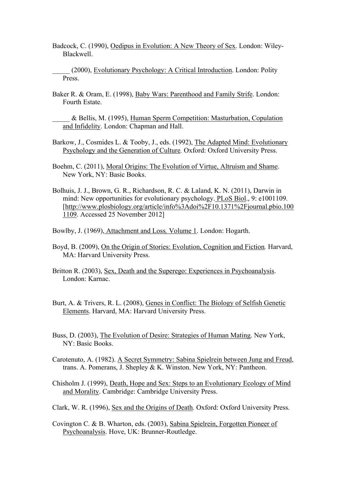Badcock, C. (1990), Oedipus in Evolution: A New Theory of Sex. London: Wiley-Blackwell.

(2000), Evolutionary Psychology: A Critical Introduction. London: Polity Press.

- Baker R. & Oram, E. (1998), Baby Wars: Parenthood and Family Strife. London: Fourth Estate.
	- & Bellis, M. (1995), Human Sperm Competition: Masturbation, Copulation and Infidelity. London: Chapman and Hall.
- Barkow, J., Cosmides L. & Tooby, J., eds. (1992), The Adapted Mind: Evolutionary Psychology and the Generation of Culture*.* Oxford: Oxford University Press.
- Boehm, C. (2011), Moral Origins: The Evolution of Virtue, Altruism and Shame. New York, NY: Basic Books.
- Bolhuis, J. J., Brown, G. R., Richardson, R. C. & Laland, K. N. (2011), Darwin in mind: New opportunities for evolutionary psychology. PLoS Biol., 9: e1001109. [http://www.plosbiology.org/article/info%3Adoi%2F10.1371%2Fjournal.pbio.100 1109. Accessed 25 November 2012]
- Bowlby, J. (1969), Attachment and Loss*,* Volume 1. London: Hogarth.
- Boyd, B. (2009), On the Origin of Stories: Evolution, Cognition and Fiction*.* Harvard, MA: Harvard University Press.
- Britton R. (2003), Sex, Death and the Superego: Experiences in Psychoanalysis. London: Karnac.
- Burt, A. & Trivers, R. L. (2008), Genes in Conflict: The Biology of Selfish Genetic Elements. Harvard, MA: Harvard University Press.
- Buss, D. (2003), The Evolution of Desire: Strategies of Human Mating. New York, NY: Basic Books.
- Carotenuto, A. (1982). A Secret Symmetry: Sabina Spielrein between Jung and Freud, trans. A. Pomerans, J. Shepley & K. Winston. New York, NY: Pantheon.
- Chisholm J. (1999), Death, Hope and Sex: Steps to an Evolutionary Ecology of Mind and Morality. Cambridge: Cambridge University Press.
- Clark, W. R. (1996), Sex and the Origins of Death*.* Oxford: Oxford University Press.
- Covington C. & B. Wharton, eds. (2003), Sabina Spielrein, Forgotten Pioneer of Psychoanalysis. Hove, UK: Brunner-Routledge.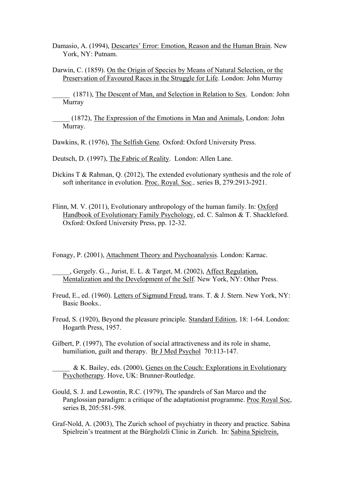Damasio, A. (1994), Descartes' Error: Emotion, Reason and the Human Brain. New York, NY: Putnam.

Darwin, C. (1859). On the Origin of Species by Means of Natural Selection, or the Preservation of Favoured Races in the Struggle for Life. London: John Murray

(1871), The Descent of Man, and Selection in Relation to Sex. London: John Murray

\_\_\_\_\_ (1872), The Expression of the Emotions in Man and Animals, London: John Murray.

Dawkins, R. (1976), The Selfish Gene*.* Oxford: Oxford University Press.

Deutsch, D. (1997), The Fabric of Reality. London: Allen Lane.

Dickins T & Rahman, Q. (2012), The extended evolutionary synthesis and the role of soft inheritance in evolution. Proc. Royal. Soc*.,* series B, 279:2913-2921.

Flinn, M. V. (2011), Evolutionary anthropology of the human family. In: Oxford Handbook of Evolutionary Family Psychology, ed. C. Salmon & T. Shackleford. Oxford: Oxford University Press, pp. 12-32.

Fonagy, P. (2001), Attachment Theory and Psychoanalysis. London: Karnac.

\_\_\_\_\_, Gergely. G.., Jurist, E. L. & Target, M. (2002), Affect Regulation, Mentalization and the Development of the Self. New York, NY: Other Press.

Freud, E., ed. (1960). Letters of Sigmund Freud, trans. T. & J. Stern. New York, NY: Basic Books..

Freud, S. (1920), Beyond the pleasure principle. Standard Edition, 18: 1-64. London: Hogarth Press, 1957.

Gilbert, P. (1997), The evolution of social attractiveness and its role in shame, humiliation, guilt and therapy. Br J Med Psychol 70:113-147.

\_\_\_\_\_ & K. Bailey, eds. (2000), Genes on the Couch: Explorations in Evolutionary Psychotherapy. Hove, UK: Brunner-Routledge.

- Gould, S. J. and Lewontin, R.C. (1979), The spandrels of San Marco and the Panglossian paradigm: a critique of the adaptationist programme. Proc Royal Soc, series B, 205:581-598.
- Graf-Nold, A. (2003), The Zurich school of psychiatry in theory and practice. Sabina Spielrein's treatment at the Bürgholzli Clinic in Zurich. In: Sabina Spielrein,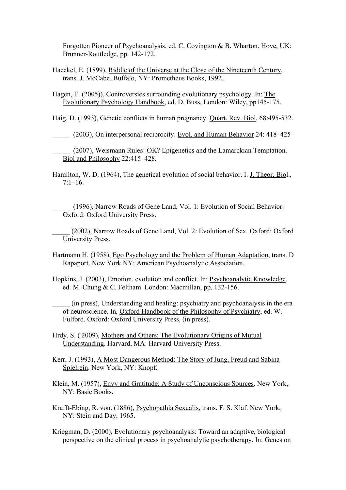Forgotten Pioneer of Psychoanalysis, ed. C. Covington & B. Wharton. Hove, UK: Brunner-Routledge, pp. 142-172.

Haeckel, E. (1899), Riddle of the Universe at the Close of the Nineteenth Century, trans. J. McCabe. Buffalo, NY: Prometheus Books, 1992.

Hagen, E. (2005)), Controversies surrounding evolutionary psychology. In: The Evolutionary Psychology Handbook, ed. D. Buss, London: Wiley, pp145-175.

Haig, D. (1993), Genetic conflicts in human pregnancy. Quart. Rev. Biol, 68:495-532.

\_\_\_\_\_ (2003), On interpersonal reciprocity. Evol. and Human Behavior 24: 418–425

\_\_\_\_\_ (2007), Weismann Rules! OK? Epigenetics and the Lamarckian Temptation. Biol and Philosophy 22:415–428*.*

Hamilton, W. D. (1964), The genetical evolution of social behavior. I. J. Theor. Biol.,  $7.1 - 16$ 

\_\_\_\_\_ (1996), Narrow Roads of Gene Land, Vol. 1: Evolution of Social Behavior. Oxford: Oxford University Press.

(2002), Narrow Roads of Gene Land, Vol. 2: Evolution of Sex. Oxford: Oxford University Press.

Hartmann H. (1958), Ego Psychology and the Problem of Human Adaptation, trans. D Rapaport. New York NY: American Psychoanalytic Association.

Hopkins, J. (2003), Emotion, evolution and conflict. In: Psychoanalytic Knowledge, ed. M. Chung & C. Feltham. London: Macmillan, pp. 132-156.

\_\_\_\_\_ (in press), Understanding and healing: psychiatry and psychoanalysis in the era of neuroscience. In*,* Oxford Handbook of the Philosophy of Psychiatry, ed. W. Fulford. Oxford: Oxford University Press, (in press).

Hrdy, S. ( 2009), Mothers and Others: The Evolutionary Origins of Mutual Understanding. Harvard, MA: Harvard University Press.

Kerr, J. (1993), A Most Dangerous Method: The Story of Jung, Freud and Sabina Spielrein. New York, NY: Knopf.

Klein, M. (1957), Envy and Gratitude: A Study of Unconscious Sources. New York, NY: Basic Books.

Krafft-Ebing, R. von. (1886), Psychopathia Sexualis, trans. F. S. Klaf. New York, NY: Stein and Day, 1965.

Kriegman, D. (2000), Evolutionary psychoanalysis: Toward an adaptive, biological perspective on the clinical process in psychoanalytic psychotherapy. In: Genes on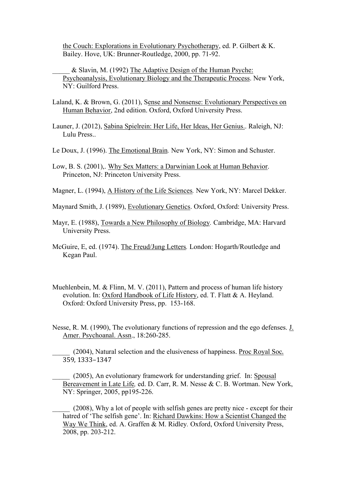the Couch: Explorations in Evolutionary Psychotherapy, ed. P. Gilbert & K. Bailey. Hove, UK: Brunner-Routledge, 2000, pp. 71-92.

\_\_\_\_\_ & Slavin, M. (1992) The Adaptive Design of the Human Psyche: Psychoanalysis, Evolutionary Biology and the Therapeutic Process. New York, NY: Guilford Press.

Laland, K. & Brown, G. (2011), Sense and Nonsense: Evolutionary Perspectives on Human Behavior, 2nd edition. Oxford, Oxford University Press.

Launer, J. (2012), Sabina Spielrein: Her Life, Her Ideas, Her Genius.. Raleigh, NJ: Lulu Press..

- Le Doux, J. (1996). The Emotional Brain*.* New York, NY: Simon and Schuster.
- Low, B. S. (2001),. Why Sex Matters: a Darwinian Look at Human Behavior. Princeton, NJ: Princeton University Press.

Magner, L. (1994), A History of the Life Sciences*.* New York, NY: Marcel Dekker.

- Maynard Smith, J. (1989), Evolutionary Genetics. Oxford, Oxford: University Press.
- Mayr, E. (1988), Towards a New Philosophy of Biology*.* Cambridge, MA: Harvard University Press.
- McGuire, E, ed. (1974). The Freud/Jung Letters*.* London: Hogarth/Routledge and Kegan Paul.
- Muehlenbein, M. & Flinn, M. V. (2011), Pattern and process of human life history evolution. In: Oxford Handbook of Life History, ed. T. Flatt & A. Heyland. Oxford: Oxford University Press, pp. 153-168.
- Nesse, R. M. (1990), The evolutionary functions of repression and the ego defenses. J. Amer. Psychoanal. Assn., 18:260-285.

(2004), Natural selection and the elusiveness of happiness. Proc Royal Soc. 359, 1333–1347 

(2005), An evolutionary framework for understanding grief. In: Spousal Bereavement in Late Life*,* ed. D. Carr, R. M. Nesse & C. B. Wortman. New York, NY: Springer, 2005, pp195-226.

(2008), Why a lot of people with selfish genes are pretty nice - except for their hatred of 'The selfish gene'. In: Richard Dawkins: How a Scientist Changed the Way We Think, ed. A. Graffen & M. Ridley*.* Oxford, Oxford University Press, 2008, pp. 203-212.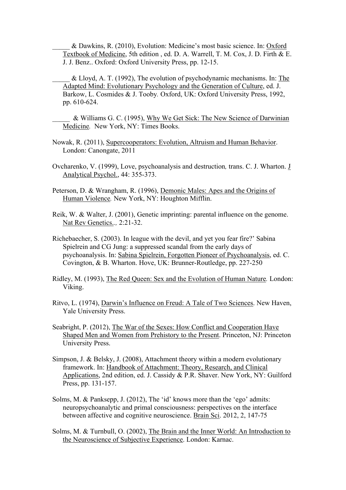\_\_\_\_\_ & Dawkins, R. (2010), Evolution: Medicine's most basic science. In: Oxford Textbook of Medicine, 5th edition , ed. D. A. Warrell, T. M. Cox, J. D. Firth & E. J. J. Benz.. Oxford: Oxford University Press, pp. 12-15.

- \_\_\_\_\_ & Lloyd, A. T. (1992), The evolution of psychodynamic mechanisms. In: The Adapted Mind: Evolutionary Psychology and the Generation of Culture, ed. J. Barkow, L. Cosmides & J. Tooby. Oxford, UK: Oxford University Press, 1992, pp. 610-624.
- \_\_\_\_\_ & Williams G. C. (1995), Why We Get Sick: The New Science of Darwinian Medicine*.* New York, NY: Times Books.
- Nowak, R. (2011), Supercooperators: Evolution, Altruism and Human Behavior. London: Canongate, 2011
- Ovcharenko, V. (1999), Love, psychoanalysis and destruction*,* trans. C. J. Wharton. J Analytical Psychol., 44: 355-373.
- Peterson, D. & Wrangham, R. (1996), Demonic Males: Apes and the Origins of Human Violence*.* New York, NY: Houghton Mifflin.
- Reik, W. & Walter, J. (2001), Genetic imprinting: parental influence on the genome. Nat Rev Genetics.*.,* 2:21-32.
- Richebaecher, S. (2003). In league with the devil, and yet you fear fire?' Sabina Spielrein and CG Jung: a suppressed scandal from the early days of psychoanalysis. In: Sabina Spielrein, Forgotten Pioneer of Psychoanalysis, ed. C. Covington, & B. Wharton. Hove, UK: Brunner-Routledge, pp. 227-250
- Ridley, M. (1993), The Red Queen: Sex and the Evolution of Human Nature*.* London: Viking.
- Ritvo, L. (1974), Darwin's Influence on Freud: A Tale of Two Sciences. New Haven, Yale University Press.
- Seabright, P. (2012), The War of the Sexes: How Conflict and Cooperation Have Shaped Men and Women from Prehistory to the Present. Princeton, NJ: Princeton University Press.
- Simpson, J. & Belsky, J. (2008), Attachment theory within a modern evolutionary framework. In: Handbook of Attachment: Theory, Research, and Clinical Applications, 2nd edition, ed. J. Cassidy & P.R. Shaver. New York, NY: Guilford Press, pp. 131-157.
- Solms, M. & Panksepp, J. (2012), The 'id' knows more than the 'ego' admits: neuropsychoanalytic and primal consciousness: perspectives on the interface between affective and cognitive neuroscience. Brain Sci. 2012, 2, 147-75
- Solms, M. & Turnbull, O. (2002), The Brain and the Inner World: An Introduction to the Neuroscience of Subjective Experience. London: Karnac.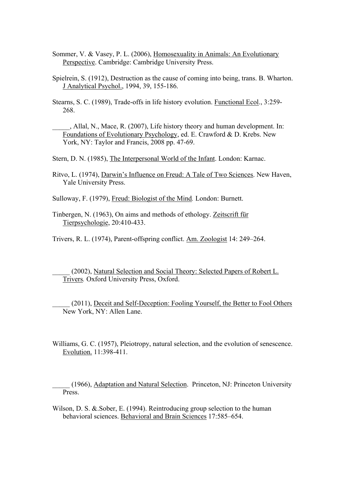- Sommer, V. & Vasey, P. L. (2006), Homosexuality in Animals: An Evolutionary Perspective. Cambridge: Cambridge University Press.
- Spielrein, S. (1912), Destruction as the cause of coming into being, trans. B. Wharton. J Analytical Psychol., 1994, 39, 155-186.
- Stearns, S. C. (1989), Trade-offs in life history evolution. Functional Ecol., 3:259- 268.
	- . Allal, N., Mace, R. (2007), Life history theory and human development. In: Foundations of Evolutionary Psychology, ed. E. Crawford & D. Krebs. New York, NY: Taylor and Francis, 2008 pp. 47-69.
- Stern, D. N. (1985), The Interpersonal World of the Infant. London: Karnac.
- Ritvo, L. (1974), Darwin's Influence on Freud: A Tale of Two Sciences. New Haven, Yale University Press.
- Sulloway, F. (1979), Freud: Biologist of the Mind*.* London: Burnett.
- Tinbergen, N. (1963), On aims and methods of ethology. Zeitscrift für Tierpsychologie, 20:410-433.
- Trivers, R. L. (1974), Parent-offspring conflict. Am. Zoologist 14: 249–264.
	- (2002), Natural Selection and Social Theory: Selected Papers of Robert L. Trivers*.* Oxford University Press, Oxford.
	- (2011), Deceit and Self-Deception: Fooling Yourself, the Better to Fool Others New York, NY: Allen Lane.
- Williams, G. C. (1957), Pleiotropy, natural selection, and the evolution of senescence. Evolution. 11:398-411.
	- \_\_\_\_\_ (1966), Adaptation and Natural Selection. Princeton, NJ: Princeton University Press.
- Wilson, D. S. &.Sober, E. (1994). Reintroducing group selection to the human behavioral sciences. Behavioral and Brain Sciences 17:585–654.